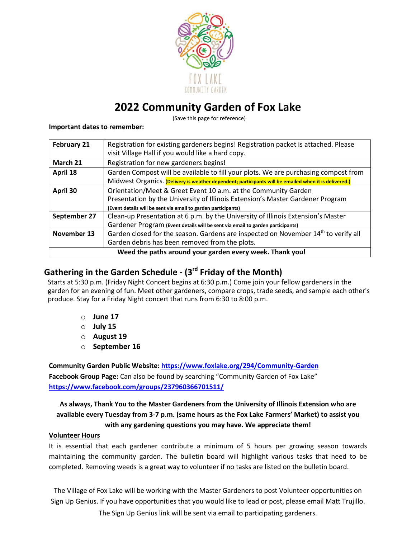

## **2022 Community Garden of Fox Lake**

(Save this page for reference)

#### **Important dates to remember:**

| February 21                                              | Registration for existing gardeners begins! Registration packet is attached. Please<br>visit Village Hall if you would like a hard copy. |  |
|----------------------------------------------------------|------------------------------------------------------------------------------------------------------------------------------------------|--|
| March 21                                                 | Registration for new gardeners begins!                                                                                                   |  |
| April 18                                                 | Garden Compost will be available to fill your plots. We are purchasing compost from                                                      |  |
|                                                          | Midwest Organics. (Delivery is weather dependent; participants will be emailed when it is delivered.)                                    |  |
| April 30                                                 | Orientation/Meet & Greet Event 10 a.m. at the Community Garden                                                                           |  |
|                                                          | Presentation by the University of Illinois Extension's Master Gardener Program                                                           |  |
|                                                          | (Event details will be sent via email to garden participants)                                                                            |  |
| September 27                                             | Clean-up Presentation at 6 p.m. by the University of Illinois Extension's Master                                                         |  |
|                                                          | Gardener Program (Event details will be sent via email to garden participants)                                                           |  |
| November 13                                              | Garden closed for the season. Gardens are inspected on November 14th to verify all                                                       |  |
|                                                          | Garden debris has been removed from the plots.                                                                                           |  |
| Weed the paths around your garden every week. Thank you! |                                                                                                                                          |  |

## **Gathering in the Garden Schedule - (3rd Friday of the Month)**

Starts at 5:30 p.m. (Friday Night Concert begins at 6:30 p.m.) Come join your fellow gardeners in the garden for an evening of fun. Meet other gardeners, compare crops, trade seeds, and sample each other's produce. Stay for a Friday Night concert that runs from 6:30 to 8:00 p.m.

- o **June 17**
- o **July 15**
- o **August 19**
- o **September 16**

**Community Garden Public Website: https://www.foxlake.org/294/Community-Garden Facebook Group Page:** Can also be found by searching "Community Garden of Fox Lake" **https://www.facebook.com/groups/237960366701511/**

## **As always, Thank You to the Master Gardeners from the University of Illinois Extension who are available every Tuesday from 3-7 p.m. (same hours as the Fox Lake Farmers' Market) to assist you with any gardening questions you may have. We appreciate them!**

## **Volunteer Hours**

It is essential that each gardener contribute a minimum of 5 hours per growing season towards maintaining the community garden. The bulletin board will highlight various tasks that need to be completed. Removing weeds is a great way to volunteer if no tasks are listed on the bulletin board.

The Village of Fox Lake will be working with the Master Gardeners to post Volunteer opportunities on Sign Up Genius. If you have opportunities that you would like to lead or post, please email Matt Trujillo.

The Sign Up Genius link will be sent via email to participating gardeners.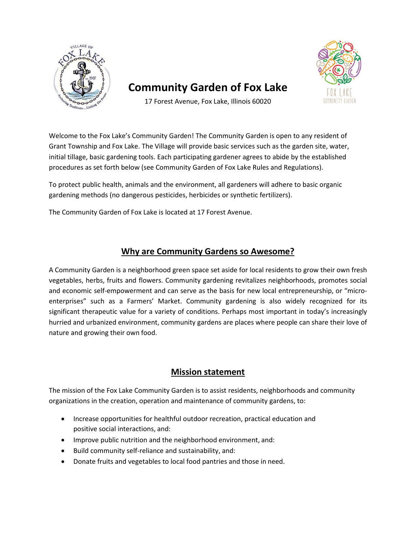

## **Community Garden of Fox Lake**



17 Forest Avenue, Fox Lake, Illinois 60020

Welcome to the Fox Lake's Community Garden! The Community Garden is open to any resident of Grant Township and Fox Lake. The Village will provide basic services such as the garden site, water, initial tillage, basic gardening tools. Each participating gardener agrees to abide by the established procedures as set forth below (see Community Garden of Fox Lake Rules and Regulations).

To protect public health, animals and the environment, all gardeners will adhere to basic organic gardening methods (no dangerous pesticides, herbicides or synthetic fertilizers).

The Community Garden of Fox Lake is located at 17 Forest Avenue.

## **Why are Community Gardens so Awesome?**

A Community Garden is a neighborhood green space set aside for local residents to grow their own fresh vegetables, herbs, fruits and flowers. Community gardening revitalizes neighborhoods, promotes social and economic self-empowerment and can serve as the basis for new local entrepreneurship, or "microenterprises" such as a Farmers' Market. Community gardening is also widely recognized for its significant therapeutic value for a variety of conditions. Perhaps most important in today's increasingly hurried and urbanized environment, community gardens are places where people can share their love of nature and growing their own food.

## **Mission statement**

The mission of the Fox Lake Community Garden is to assist residents, neighborhoods and community organizations in the creation, operation and maintenance of community gardens, to:

- Increase opportunities for healthful outdoor recreation, practical education and positive social interactions, and:
- Improve public nutrition and the neighborhood environment, and:
- Build community self-reliance and sustainability, and:
- Donate fruits and vegetables to local food pantries and those in need.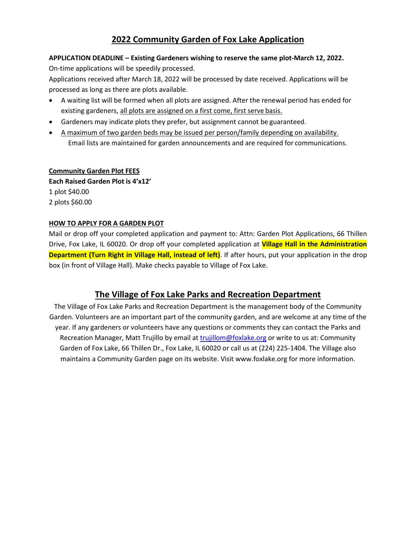## **2022 Community Garden of Fox Lake Application**

## **APPLICATION DEADLINE – Existing Gardeners wishing to reserve the same plot-March 12, 2022.**  On-time applications will be speedily processed.

Applications received after March 18, 2022 will be processed by date received. Applications will be processed as long as there are plots available.

- A waiting list will be formed when all plots are assigned. After the renewal period has ended for existing gardeners, all plots are assigned on a first come, first serve basis.
- Gardeners may indicate plots they prefer, but assignment cannot be guaranteed.
- A maximum of two garden beds may be issued per person/family depending on availability. Email lists are maintained for garden announcements and are required for communications.

#### **Community Garden Plot FEES**

**Each Raised Garden Plot is 4'x12'** 1 plot \$40.00 2 plots \$60.00

#### **HOW TO APPLY FOR A GARDEN PLOT**

Mail or drop off your completed application and payment to: Attn: Garden Plot Applications, 66 Thillen Drive, Fox Lake, IL 60020. Or drop off your completed application at **Village Hall in the Administration Department (Turn Right in Village Hall, instead of left)**. If after hours, put your application in the drop box (in front of Village Hall). Make checks payable to Village of Fox Lake.

## **The Village of Fox Lake Parks and Recreation Department**

The Village of Fox Lake Parks and Recreation Department is the management body of the Community Garden. Volunteers are an important part of the community garden, and are welcome at any time of the year. If any gardeners or volunteers have any questions or comments they can contact the Parks and Recreation Manager, Matt Trujillo by email at trujillom@foxlake.org or write to us at: Community Garden of Fox Lake, 66 Thillen Dr., Fox Lake, IL 60020 or call us at (224) 225-1404. The Village also maintains a Community Garden page on its website. Visit www.foxlake.org for more information.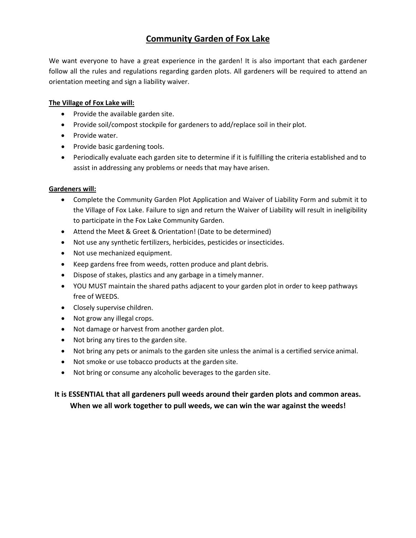## **Community Garden of Fox Lake**

We want everyone to have a great experience in the garden! It is also important that each gardener follow all the rules and regulations regarding garden plots. All gardeners will be required to attend an orientation meeting and sign a liability waiver.

## **The Village of Fox Lake will:**

- Provide the available garden site.
- Provide soil/compost stockpile for gardeners to add/replace soil in their plot.
- Provide water.
- Provide basic gardening tools.
- Periodically evaluate each garden site to determine if it is fulfilling the criteria established and to assist in addressing any problems or needs that may have arisen.

## **Gardeners will:**

- Complete the Community Garden Plot Application and Waiver of Liability Form and submit it to the Village of Fox Lake. Failure to sign and return the Waiver of Liability will result in ineligibility to participate in the Fox Lake Community Garden.
- Attend the Meet & Greet & Orientation! (Date to be determined)
- Not use any synthetic fertilizers, herbicides, pesticides or insecticides.
- Not use mechanized equipment.
- Keep gardens free from weeds, rotten produce and plant debris.
- Dispose of stakes, plastics and any garbage in a timelymanner.
- YOU MUST maintain the shared paths adjacent to your garden plot in order to keep pathways free of WEEDS.
- Closely supervise children.
- Not grow any illegal crops.
- Not damage or harvest from another garden plot.
- Not bring any tires to the garden site.
- Not bring any pets or animals to the garden site unless the animal is a certified service animal.
- Not smoke or use tobacco products at the garden site.
- Not bring or consume any alcoholic beverages to the garden site.

## **It is ESSENTIAL that all gardeners pull weeds around their garden plots and common areas. When we all work together to pull weeds, we can win the war against the weeds!**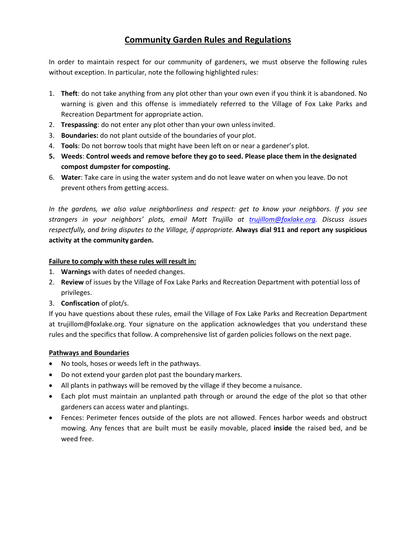## **Community Garden Rules and Regulations**

In order to maintain respect for our community of gardeners, we must observe the following rules without exception. In particular, note the following highlighted rules:

- 1. **Theft**: do not take anything from any plot other than your own even if you think it is abandoned. No warning is given and this offense is immediately referred to the Village of Fox Lake Parks and Recreation Department for appropriate action.
- 2. **Trespassing**: do not enter any plot other than your own unless invited.
- 3. **Boundaries:** do not plant outside of the boundaries of your plot.
- 4. **Tools**: Do not borrow tools that might have been left on or near a gardener's plot.
- **5. Weeds**: **Control weeds and remove before they go to seed. Please place them in the designated compost dumpster for composting.**
- 6. **Water**: Take care in using the water system and do not leave water on when you leave. Do not prevent others from getting access.

*In the gardens, we also value neighborliness and respect: get to know your neighbors. If you see strangers in your neighbors' plots, email Matt Trujillo at trujillom@foxlake.org. Discuss issues respectfully, and bring disputes to the Village, if appropriate.* **Always dial 911 and report any suspicious activity at the community garden.**

## **Failure to comply with these rules will result in:**

- 1. **Warnings** with dates of needed changes.
- 2. **Review** of issues by the Village of Fox Lake Parks and Recreation Department with potential loss of privileges.
- 3. **Confiscation** of plot/s.

If you have questions about these rules, email the Village of Fox Lake Parks and Recreation Department at trujillom@foxlake.org. Your signature on the application acknowledges that you understand these rules and the specifics that follow. A comprehensive list of garden policies follows on the next page.

## **Pathways and Boundaries**

- No tools, hoses or weeds left in the pathways.
- Do not extend your garden plot past the boundary markers.
- All plants in pathways will be removed by the village if they become a nuisance.
- Each plot must maintain an unplanted path through or around the edge of the plot so that other gardeners can access water and plantings.
- Fences: Perimeter fences outside of the plots are not allowed. Fences harbor weeds and obstruct mowing. Any fences that are built must be easily movable, placed **inside** the raised bed, and be weed free.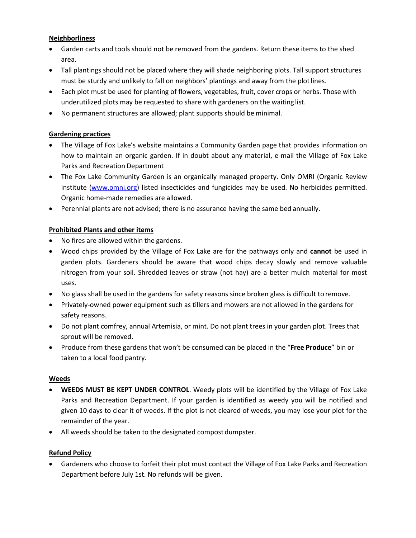### **Neighborliness**

- Garden carts and tools should not be removed from the gardens. Return these items to the shed area.
- Tall plantings should not be placed where they will shade neighboring plots. Tall support structures must be sturdy and unlikely to fall on neighbors' plantings and away from the plotlines.
- Each plot must be used for planting of flowers, vegetables, fruit, cover crops or herbs. Those with underutilized plots may be requested to share with gardeners on the waiting list.
- No permanent structures are allowed; plant supports should be minimal.

#### **Gardening practices**

- The Village of Fox Lake's website maintains a Community Garden page that provides information on how to maintain an organic garden. If in doubt about any material, e-mail the Village of Fox Lake Parks and Recreation Department
- The Fox Lake Community Garden is an organically managed property. Only OMRI (Organic Review Institute (www.omni.org) listed insecticides and fungicides may be used. No herbicides permitted. Organic home-made remedies are allowed.
- Perennial plants are not advised; there is no assurance having the same bed annually.

#### **Prohibited Plants and other items**

- No fires are allowed within the gardens.
- Wood chips provided by the Village of Fox Lake are for the pathways only and **cannot** be used in garden plots. Gardeners should be aware that wood chips decay slowly and remove valuable nitrogen from your soil. Shredded leaves or straw (not hay) are a better mulch material for most uses.
- No glass shall be used in the gardens for safety reasons since broken glass is difficult to remove.
- Privately-owned power equipment such as tillers and mowers are not allowed in the gardens for safety reasons.
- Do not plant comfrey, annual Artemisia, or mint. Do not plant trees in your garden plot. Trees that sprout will be removed.
- Produce from these gardens that won't be consumed can be placed in the "**Free Produce**" bin or taken to a local food pantry.

#### **Weeds**

- **WEEDS MUST BE KEPT UNDER CONTROL**. Weedy plots will be identified by the Village of Fox Lake Parks and Recreation Department. If your garden is identified as weedy you will be notified and given 10 days to clear it of weeds. If the plot is not cleared of weeds, you may lose your plot for the remainder of the year.
- All weeds should be taken to the designated compost dumpster.

## **Refund Policy**

• Gardeners who choose to forfeit their plot must contact the Village of Fox Lake Parks and Recreation Department before July 1st. No refunds will be given.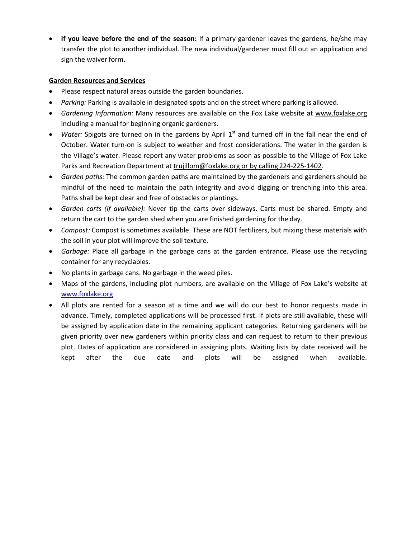• **If you leave before the end of the season:** If a primary gardener leaves the gardens, he/she may transfer the plot to another individual. The new individual/gardener must fill out an application and sign the waiver form.

### **Garden Resources and Services**

- Please respect natural areas outside the garden boundaries.
- *Parking:* Parking is available in designated spots and on the street where parking is allowed.
- *Gardening Information:* Many resources are available on the Fox Lake website at www.foxlake.org including a manual for beginning organic gardeners.
- *Water:* Spigots are turned on in the gardens by April 1<sup>st</sup> and turned off in the fall near the end of October. Water turn-on is subject to weather and frost considerations. The water in the garden is the Village's water. Please report any water problems as soon as possible to the Village of Fox Lake Parks and Recreation Department at trujillom@foxlake.org or by calling 224-225-1402.
- *Garden paths:* The common garden paths are maintained by the gardeners and gardeners should be mindful of the need to maintain the path integrity and avoid digging or trenching into this area. Paths shall be kept clear and free of obstacles or plantings.
- *Garden carts (if available):* Never tip the carts over sideways. Carts must be shared. Empty and return the cart to the garden shed when you are finished gardening for the day.
- *Compost:* Compost is sometimes available. These are NOT fertilizers, but mixing these materials with the soil in your plot will improve the soil texture.
- *Garbage:* Place all garbage in the garbage cans at the garden entrance. Please use the recycling container for any recyclables.
- No plants in garbage cans. No garbage in the weed piles.
- Maps of the gardens, including plot numbers, are available on the Village of Fox Lake's website at www.foxlake.org
- All plots are rented for a season at a time and we will do our best to honor requests made in advance. Timely, completed applications will be processed first. If plots are still available, these will be assigned by application date in the remaining applicant categories. Returning gardeners will be given priority over new gardeners within priority class and can request to return to their previous plot. Dates of application are considered in assigning plots. Waiting lists by date received will be kept after the due date and plots will be assigned when available.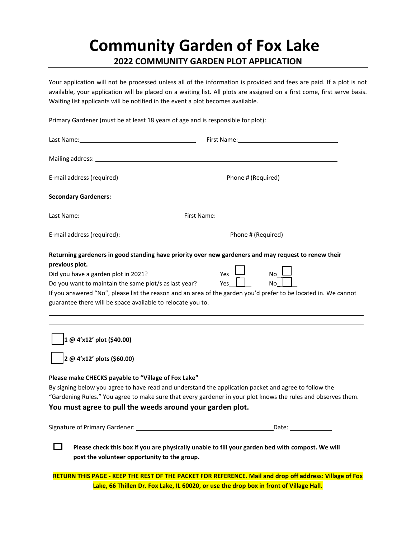## **Community Garden of Fox Lake 2022 COMMUNITY GARDEN PLOT APPLICATION**

Your application will not be processed unless all of the information is provided and fees are paid. If a plot is not available, your application will be placed on a waiting list. All plots are assigned on a first come, first serve basis. Waiting list applicants will be notified in the event a plot becomes available.

Primary Gardener (must be at least 18 years of age and is responsible for plot):

|                                                                                                                                                             | First Name: The contract of the contract of the contract of the contract of the contract of the contract of the                                   |
|-------------------------------------------------------------------------------------------------------------------------------------------------------------|---------------------------------------------------------------------------------------------------------------------------------------------------|
|                                                                                                                                                             |                                                                                                                                                   |
|                                                                                                                                                             |                                                                                                                                                   |
| <b>Secondary Gardeners:</b>                                                                                                                                 |                                                                                                                                                   |
|                                                                                                                                                             |                                                                                                                                                   |
|                                                                                                                                                             |                                                                                                                                                   |
| previous plot.                                                                                                                                              | Returning gardeners in good standing have priority over new gardeners and may request to renew their                                              |
| Did you have a garden plot in 2021?<br>Do you want to maintain the same plot/s as last year?<br>guarantee there will be space available to relocate you to. | Yes l<br>$No__$<br>No l<br>Yes<br>If you answered "No", please list the reason and an area of the garden you'd prefer to be located in. We cannot |
|                                                                                                                                                             |                                                                                                                                                   |
| $1 \omega$ 4'x12' plot (\$40.00)                                                                                                                            |                                                                                                                                                   |
| $2 \omega$ 4'x12' plots (\$60.00)                                                                                                                           |                                                                                                                                                   |
| Please make CHECKS payable to "Village of Fox Lake"                                                                                                         |                                                                                                                                                   |
|                                                                                                                                                             | By signing below you agree to have read and understand the application packet and agree to follow the                                             |
|                                                                                                                                                             | "Gardening Rules." You agree to make sure that every gardener in your plot knows the rules and observes them.                                     |
| You must agree to pull the weeds around your garden plot.                                                                                                   |                                                                                                                                                   |
|                                                                                                                                                             |                                                                                                                                                   |
|                                                                                                                                                             | Please check this box if you are physically unable to fill your garden bed with compost. We will                                                  |
| post the volunteer opportunity to the group.                                                                                                                |                                                                                                                                                   |
|                                                                                                                                                             | RETURN THIS PAGE - KEEP THE REST OF THE PACKET FOR REFERENCE. Mail and drop off address: Village of Fox                                           |

**Lake, 66 Thillen Dr. Fox Lake, IL 60020, or use the drop box in front of Village Hall.**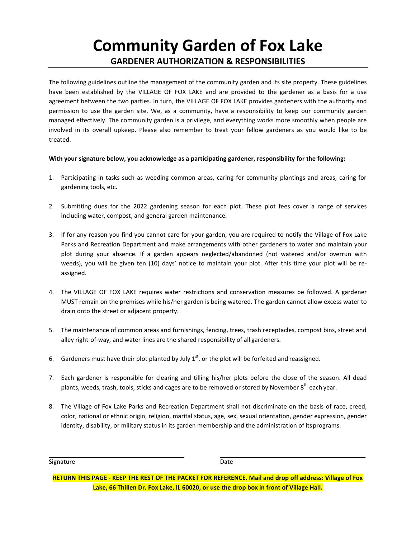# **Community Garden of Fox Lake GARDENER AUTHORIZATION & RESPONSIBILITIES**

The following guidelines outline the management of the community garden and its site property. These guidelines have been established by the VILLAGE OF FOX LAKE and are provided to the gardener as a basis for a use agreement between the two parties. In turn, the VILLAGE OF FOX LAKE provides gardeners with the authority and permission to use the garden site. We, as a community, have a responsibility to keep our community garden managed effectively. The community garden is a privilege, and everything works more smoothly when people are involved in its overall upkeep. Please also remember to treat your fellow gardeners as you would like to be treated.

#### **With your signature below, you acknowledge as a participating gardener, responsibility for the following:**

- 1. Participating in tasks such as weeding common areas, caring for community plantings and areas, caring for gardening tools, etc.
- 2. Submitting dues for the 2022 gardening season for each plot. These plot fees cover a range of services including water, compost, and general garden maintenance.
- 3. If for any reason you find you cannot care for your garden, you are required to notify the Village of Fox Lake Parks and Recreation Department and make arrangements with other gardeners to water and maintain your plot during your absence. If a garden appears neglected/abandoned (not watered and/or overrun with weeds), you will be given ten (10) days' notice to maintain your plot. After this time your plot will be reassigned.
- 4. The VILLAGE OF FOX LAKE requires water restrictions and conservation measures be followed. A gardener MUST remain on the premises while his/her garden is being watered. The garden cannot allow excess water to drain onto the street or adjacent property.
- 5. The maintenance of common areas and furnishings, fencing, trees, trash receptacles, compost bins, street and alley right-of-way, and water lines are the shared responsibility of all gardeners.
- 6. Gardeners must have their plot planted by July  $1^{st}$ , or the plot will be forfeited and reassigned.
- 7. Each gardener is responsible for clearing and tilling his/her plots before the close of the season. All dead plants, weeds, trash, tools, sticks and cages are to be removed or stored by November 8<sup>th</sup> each vear.
- 8. The Village of Fox Lake Parks and Recreation Department shall not discriminate on the basis of race, creed, color, national or ethnic origin, religion, marital status, age, sex, sexual orientation, gender expression, gender identity, disability, or military status in its garden membership and the administration of itsprograms.

Signature Date

**RETURN THIS PAGE - KEEP THE REST OF THE PACKET FOR REFERENCE. Mail and drop off address: Village of Fox Lake, 66 Thillen Dr. Fox Lake, IL 60020, or use the drop box in front of Village Hall.**